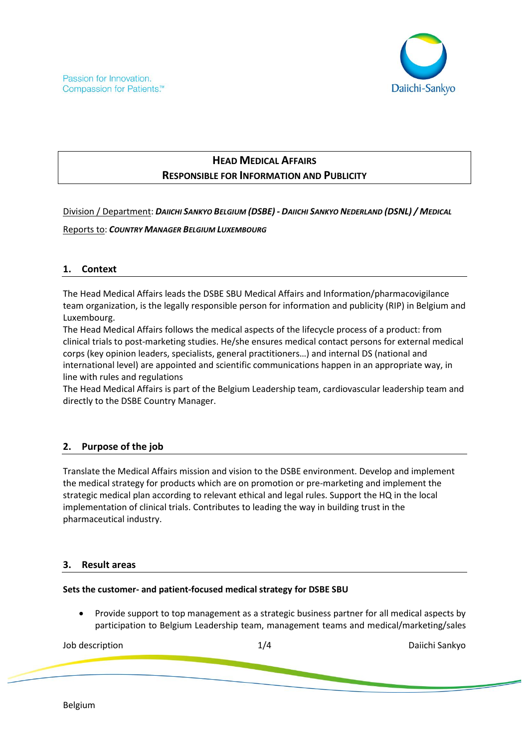

# **HEAD MEDICAL AFFAIRS RESPONSIBLE FOR INFORMATION AND PUBLICITY**

Division / Department: *DAIICHI SANKYO BELGIUM (DSBE) - DAIICHI SANKYO NEDERLAND (DSNL) / MEDICAL*

Reports to: *COUNTRY MANAGER BELGIUM LUXEMBOURG*

## **1. Context**

The Head Medical Affairs leads the DSBE SBU Medical Affairs and Information/pharmacovigilance team organization, is the legally responsible person for information and publicity (RIP) in Belgium and Luxembourg.

The Head Medical Affairs follows the medical aspects of the lifecycle process of a product: from clinical trials to post-marketing studies. He/she ensures medical contact persons for external medical corps (key opinion leaders, specialists, general practitioners…) and internal DS (national and international level) are appointed and scientific communications happen in an appropriate way, in line with rules and regulations

The Head Medical Affairs is part of the Belgium Leadership team, cardiovascular leadership team and directly to the DSBE Country Manager.

## **2. Purpose of the job**

Translate the Medical Affairs mission and vision to the DSBE environment. Develop and implement the medical strategy for products which are on promotion or pre-marketing and implement the strategic medical plan according to relevant ethical and legal rules. Support the HQ in the local implementation of clinical trials. Contributes to leading the way in building trust in the pharmaceutical industry.

#### **3. Result areas**

#### **Sets the customer- and patient-focused medical strategy for DSBE SBU**

• Provide support to top management as a strategic business partner for all medical aspects by participation to Belgium Leadership team, management teams and medical/marketing/sales

| Job description | 74<br>- 1 | Daiichi Sankyo |
|-----------------|-----------|----------------|
|                 |           |                |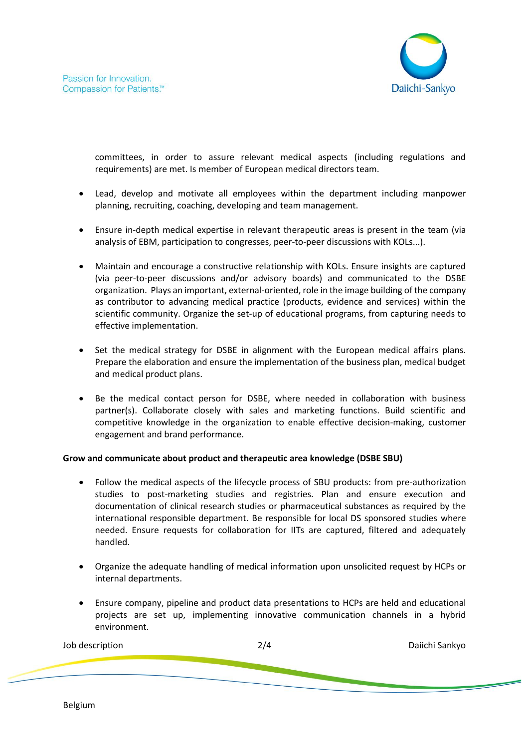

committees, in order to assure relevant medical aspects (including regulations and requirements) are met. Is member of European medical directors team.

- Lead, develop and motivate all employees within the department including manpower planning, recruiting, coaching, developing and team management.
- Ensure in-depth medical expertise in relevant therapeutic areas is present in the team (via analysis of EBM, participation to congresses, peer-to-peer discussions with KOLs...).
- Maintain and encourage a constructive relationship with KOLs. Ensure insights are captured (via peer-to-peer discussions and/or advisory boards) and communicated to the DSBE organization. Plays an important, external-oriented, role in the image building of the company as contributor to advancing medical practice (products, evidence and services) within the scientific community. Organize the set-up of educational programs, from capturing needs to effective implementation.
- Set the medical strategy for DSBE in alignment with the European medical affairs plans. Prepare the elaboration and ensure the implementation of the business plan, medical budget and medical product plans.
- Be the medical contact person for DSBE, where needed in collaboration with business partner(s). Collaborate closely with sales and marketing functions. Build scientific and competitive knowledge in the organization to enable effective decision-making, customer engagement and brand performance.

#### **Grow and communicate about product and therapeutic area knowledge (DSBE SBU)**

- Follow the medical aspects of the lifecycle process of SBU products: from pre-authorization studies to post-marketing studies and registries. Plan and ensure execution and documentation of clinical research studies or pharmaceutical substances as required by the international responsible department. Be responsible for local DS sponsored studies where needed. Ensure requests for collaboration for IITs are captured, filtered and adequately handled.
- Organize the adequate handling of medical information upon unsolicited request by HCPs or internal departments.
- Ensure company, pipeline and product data presentations to HCPs are held and educational projects are set up, implementing innovative communication channels in a hybrid environment.

| Job description | 2/4 | Daiichi Sankyo |
|-----------------|-----|----------------|
|                 |     |                |
|                 |     |                |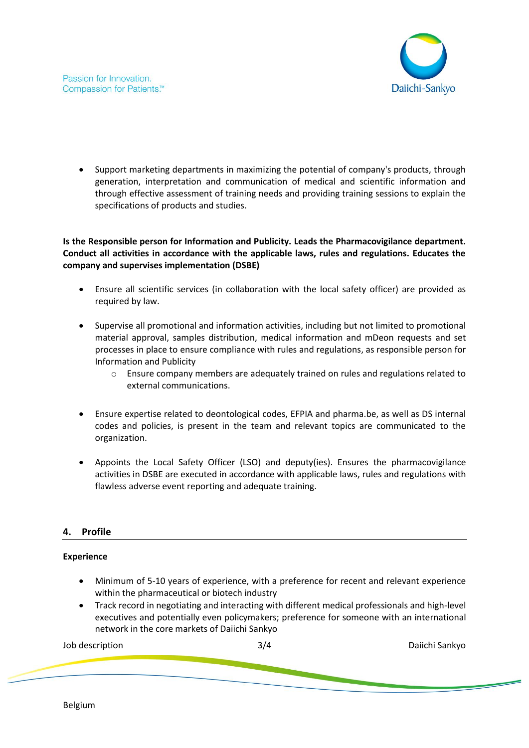

• Support marketing departments in maximizing the potential of company's products, through generation, interpretation and communication of medical and scientific information and through effective assessment of training needs and providing training sessions to explain the specifications of products and studies.

## **Is the Responsible person for Information and Publicity. Leads the Pharmacovigilance department. Conduct all activities in accordance with the applicable laws, rules and regulations. Educates the company and supervises implementation (DSBE)**

- Ensure all scientific services (in collaboration with the local safety officer) are provided as required by law.
- Supervise all promotional and information activities, including but not limited to promotional material approval, samples distribution, medical information and mDeon requests and set processes in place to ensure compliance with rules and regulations, as responsible person for Information and Publicity
	- o Ensure company members are adequately trained on rules and regulations related to external communications.
- Ensure expertise related to deontological codes, EFPIA and pharma.be, as well as DS internal codes and policies, is present in the team and relevant topics are communicated to the organization.
- Appoints the Local Safety Officer (LSO) and deputy(ies). Ensures the pharmacovigilance activities in DSBE are executed in accordance with applicable laws, rules and regulations with flawless adverse event reporting and adequate training.

## **4. Profile**

## **Experience**

- Minimum of 5-10 years of experience, with a preference for recent and relevant experience within the pharmaceutical or biotech industry
- Track record in negotiating and interacting with different medical professionals and high-level executives and potentially even policymakers; preference for someone with an international network in the core markets of Daiichi Sankyo

Job description 3/4 Daiichi Sankyo